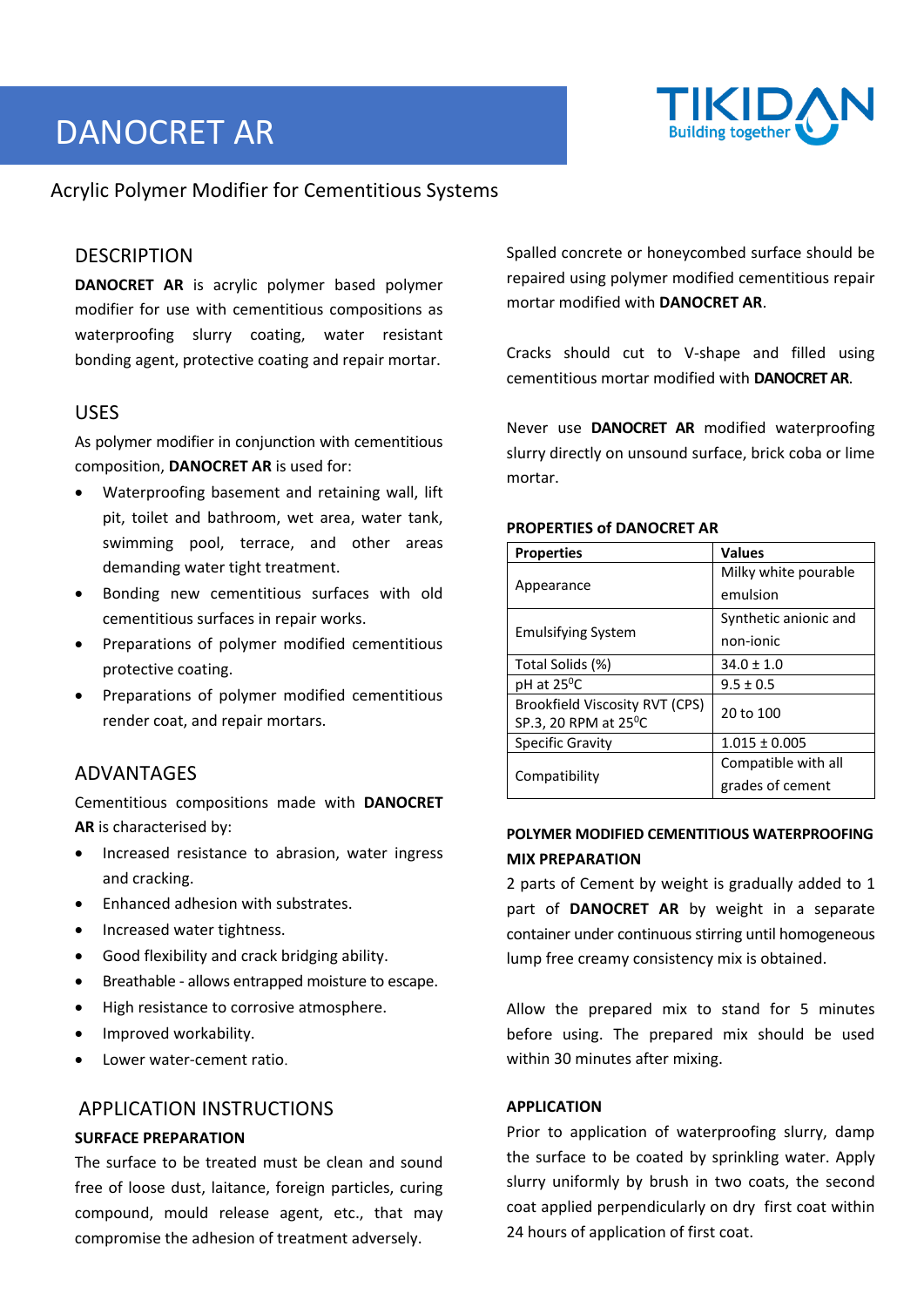# DANOCRET AR



# Acrylic Polymer Modifier for Cementitious Systems

## **DESCRIPTION**

**DANOCRET AR** is acrylic polymer based polymer modifier for use with cementitious compositions as waterproofing slurry coating, water resistant bonding agent, protective coating and repair mortar.

## USES

As polymer modifier in conjunction with cementitious composition, **DANOCRET AR** is used for:

- Waterproofing basement and retaining wall, lift pit, toilet and bathroom, wet area, water tank, swimming pool, terrace, and other areas demanding water tight treatment.
- Bonding new cementitious surfaces with old cementitious surfaces in repair works.
- Preparations of polymer modified cementitious protective coating.
- Preparations of polymer modified cementitious render coat, and repair mortars.

# ADVANTAGES

Cementitious compositions made with **DANOCRET AR** is characterised by:

- Increased resistance to abrasion, water ingress and cracking.
- Enhanced adhesion with substrates.
- Increased water tightness.
- Good flexibility and crack bridging ability.
- Breathable ‐ allows entrapped moisture to escape.
- High resistance to corrosive atmosphere.
- Improved workability.
- Lower water‐cement ratio.

## APPLICATION INSTRUCTIONS

### **SURFACE PREPARATION**

The surface to be treated must be clean and sound free of loose dust, laitance, foreign particles, curing compound, mould release agent, etc., that may compromise the adhesion of treatment adversely.

Spalled concrete or honeycombed surface should be repaired using polymer modified cementitious repair mortar modified with **DANOCRET AR**.

Cracks should cut to V‐shape and filled using cementitious mortar modified with **DANOCRET AR**.

Never use **DANOCRET AR** modified waterproofing slurry directly on unsound surface, brick coba or lime mortar.

| <b>Properties</b>                 | <b>Values</b>         |
|-----------------------------------|-----------------------|
| Appearance                        | Milky white pourable  |
|                                   | emulsion              |
| <b>Emulsifying System</b>         | Synthetic anionic and |
|                                   | non-ionic             |
| Total Solids (%)                  | $34.0 \pm 1.0$        |
| pH at 25 <sup>°</sup> C           | $9.5 \pm 0.5$         |
| Brookfield Viscosity RVT (CPS)    | 20 to 100             |
| SP.3, 20 RPM at 25 <sup>°</sup> C |                       |
| Specific Gravity                  | $1.015 \pm 0.005$     |
| Compatibility                     | Compatible with all   |
|                                   | grades of cement      |

#### **PROPERTIES of DANOCRET AR**

## **POLYMER MODIFIED CEMENTITIOUS WATERPROOFING MIX PREPARATION**

2 parts of Cement by weight is gradually added to 1 part of **DANOCRET AR** by weight in a separate container under continuous stirring until homogeneous lump free creamy consistency mix is obtained.

Allow the prepared mix to stand for 5 minutes before using. The prepared mix should be used within 30 minutes after mixing.

#### **APPLICATION**

Prior to application of waterproofing slurry, damp the surface to be coated by sprinkling water. Apply slurry uniformly by brush in two coats, the second coat applied perpendicularly on dry first coat within 24 hours of application of first coat.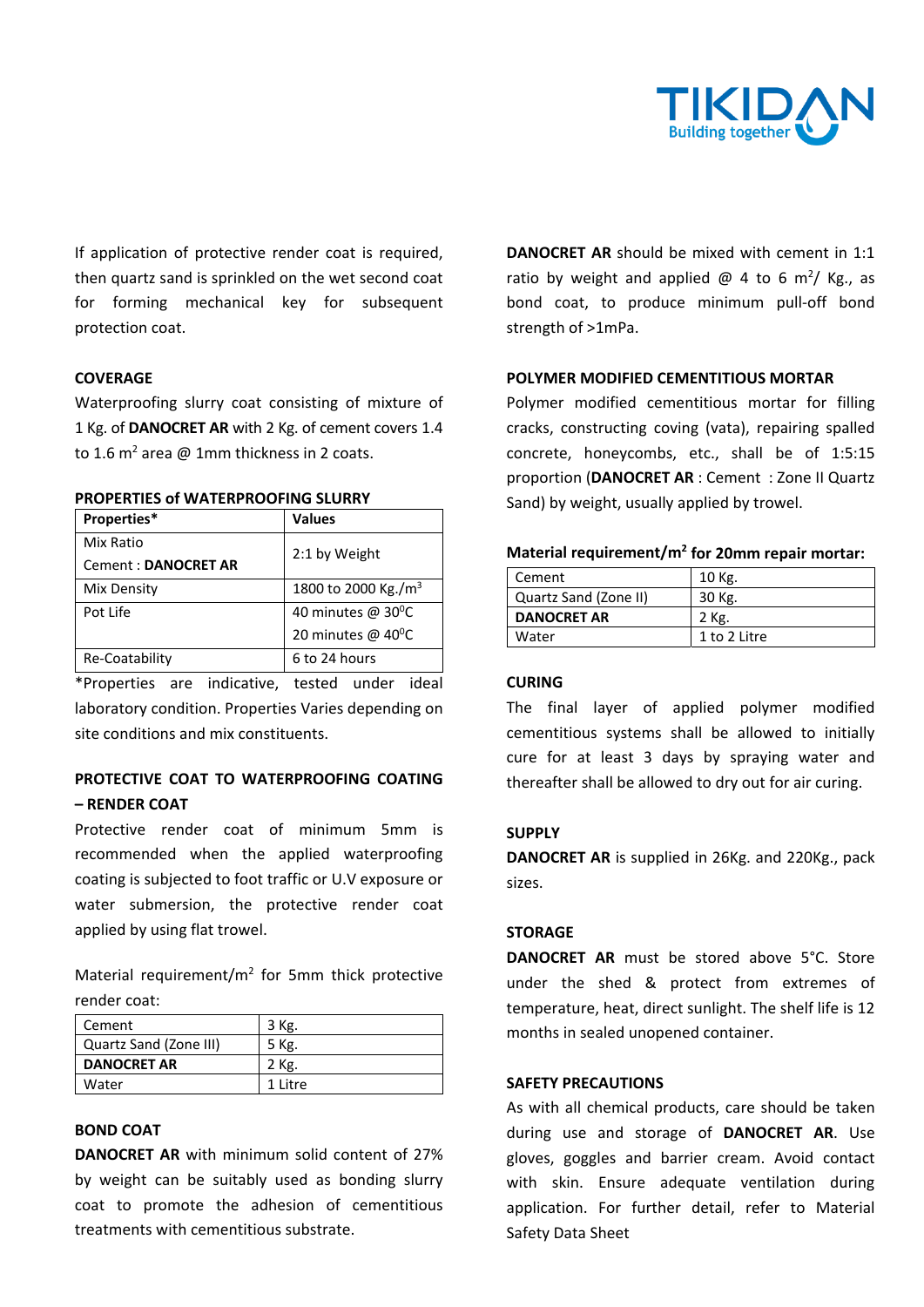

If application of protective render coat is required, then quartz sand is sprinkled on the wet second coat for forming mechanical key for subsequent protection coat.

### **COVERAGE**

Waterproofing slurry coat consisting of mixture of 1 Kg. of **DANOCRET AR** with 2 Kg. of cement covers 1.4 to 1.6 m<sup>2</sup> area @ 1mm thickness in 2 coats.

| <b>PROPERTIES of WATERPROOFING SLURRY</b> |  |
|-------------------------------------------|--|
|-------------------------------------------|--|

| Properties*                | <b>Values</b>                   |
|----------------------------|---------------------------------|
| Mix Ratio                  | 2:1 by Weight                   |
| <b>Cement: DANOCRET AR</b> |                                 |
| Mix Density                | 1800 to 2000 Kg./m <sup>3</sup> |
| Pot Life                   | 40 minutes @ 30°C               |
|                            | 20 minutes @ 40°C               |
| Re-Coatability             | 6 to 24 hours                   |

\*Properties are indicative, tested under ideal laboratory condition. Properties Varies depending on site conditions and mix constituents.

## **PROTECTIVE COAT TO WATERPROOFING COATING – RENDER COAT**

Protective render coat of minimum 5mm is recommended when the applied waterproofing coating is subjected to foot traffic or U.V exposure or water submersion, the protective render coat applied by using flat trowel.

Material requirement/ $m^2$  for 5mm thick protective render coat:

| Cement                 | 3 Kg.    |
|------------------------|----------|
| Quartz Sand (Zone III) | 5 Kg.    |
| <b>DANOCRET AR</b>     | 2 Kg.    |
| Water                  | 1 l itre |

## **BOND COAT**

**DANOCRET AR** with minimum solid content of 27% by weight can be suitably used as bonding slurry coat to promote the adhesion of cementitious treatments with cementitious substrate.

**DANOCRET AR** should be mixed with cement in 1:1 ratio by weight and applied  $\omega$  4 to 6 m<sup>2</sup>/ Kg., as bond coat, to produce minimum pull‐off bond strength of >1mPa.

#### **POLYMER MODIFIED CEMENTITIOUS MORTAR**

Polymer modified cementitious mortar for filling cracks, constructing coving (vata), repairing spalled concrete, honeycombs, etc., shall be of 1:5:15 proportion (**DANOCRET AR** : Cement : Zone II Quartz Sand) by weight, usually applied by trowel.

| Material requirement/m <sup>2</sup> for 20mm repair mortar: |  |
|-------------------------------------------------------------|--|
|                                                             |  |

| Cement                | 10 Kg.       |
|-----------------------|--------------|
| Quartz Sand (Zone II) | 30 Kg.       |
| <b>DANOCRET AR</b>    | 2 Kg.        |
| Water                 | 1 to 2 Litre |

#### **CURING**

The final layer of applied polymer modified cementitious systems shall be allowed to initially cure for at least 3 days by spraying water and thereafter shall be allowed to dry out for air curing.

#### **SUPPLY**

**DANOCRET AR** is supplied in 26Kg. and 220Kg., pack sizes.

### **STORAGE**

**DANOCRET AR** must be stored above 5°C. Store under the shed & protect from extremes of temperature, heat, direct sunlight. The shelf life is 12 months in sealed unopened container.

## **SAFETY PRECAUTIONS**

As with all chemical products, care should be taken during use and storage of **DANOCRET AR**. Use gloves, goggles and barrier cream. Avoid contact with skin. Ensure adequate ventilation during application. For further detail, refer to Material Safety Data Sheet